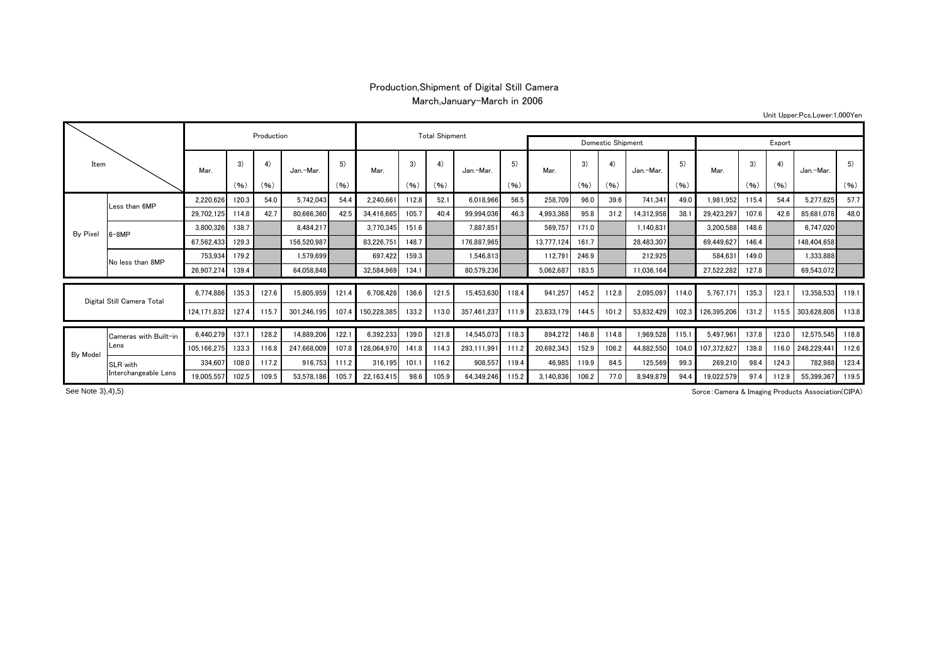## Production,Shipment of Digital Still Camera March,January-March in 2006

Unit Upper:Pcs,Lower:1,000Yen

| Item                       |                               |                  | Production |       | <b>Total Shipment</b> |            |             |       |       |             |                   |            |            |            |            |       |             |       |       |             |       |
|----------------------------|-------------------------------|------------------|------------|-------|-----------------------|------------|-------------|-------|-------|-------------|-------------------|------------|------------|------------|------------|-------|-------------|-------|-------|-------------|-------|
|                            |                               |                  |            |       |                       |            |             |       |       |             | Domestic Shipment |            |            |            |            |       | Export      |       |       |             |       |
|                            |                               | Mar.             | 3)         | 4)    | Jan.-Mar.             | 5)<br>(96) | Mar.        | 3)    | 4)    | Jan.-Mar.   | 5)<br>(96)        | Mar.       | 3)<br>(96) | 4)<br>(96) | Jan.-Mar.  | 5)    | Mar.        | 3)    | 4)    | Jan.-Mar.   | 5)    |
|                            |                               |                  | (96)       | (96)  |                       |            |             | (96)  | (96)  |             |                   |            |            |            |            | (96)  |             | (96)  | (96)  |             | (96)  |
|                            | Less than 6MP                 | 2,220,626        | 120.3      | 54.0  | 5,742,043             | 54.4       | 2,240,661   | 112.8 | 52.1  | 6,018,966   | 56.5              | 258,709    | 96.0       | 39.6       | 741,341    | 49.0  | 1,981,952   | 115.4 | 54.4  | 5,277,625   | 57.7  |
|                            |                               | 29,702,125       | 114.8      | 42.7  | 80,666,360            | 42.5       | 34,416,665  | 105.7 | 40.4  | 99,994,036  | 46.3              | 4,993,368  | 95.8       | 31.2       | 14,312,958 | 38.1  | 29,423,297  | 107.6 | 42.6  | 85,681,078  | 48.0  |
| By Pixel                   | $6 - 8MP$                     | 3,800,326        | 138.7      |       | 8,484,217             |            | 3,770,345   | 151.6 |       | 7,887,851   |                   | 569.757    | 171.0      |            | 1,140,831  |       | 3,200,588   | 148.6 |       | 6,747,020   |       |
|                            |                               | 67,562,433       | 129.3      |       | 156,520,987           |            | 83,226,751  | 148.7 |       | 176.887.965 |                   | 13,777,124 | 161.7      |            | 28,483,307 |       | 69,449,627  | 146.4 |       | 148,404,658 |       |
|                            | No less than 8MP              | 753.934          | 179.2      |       | 1.579.699             |            | 697.422     | 159.3 |       | 1.546.813   |                   | 112,791    | 246.9      |            | 212,925    |       | 584.631     | 149.0 |       | 1,333,888   |       |
|                            |                               | 26,907,274 139.4 |            |       | 64,058,848            |            | 32,584,969  | 134.1 |       | 80,579,236  |                   | 5,062,687  | 183.5      |            | 11,036,164 |       | 27,522,282  | 127.8 |       | 69,543,072  |       |
|                            |                               |                  |            |       |                       |            |             |       |       |             |                   |            |            |            |            |       |             |       |       |             |       |
| Digital Still Camera Total |                               | 6.774.886        | 135.3      | 127.6 | 15,805,959            | 121.4      | 6.708.428   | 136.6 | 121.5 | 15.453.630  | 118.4             | 941.257    | 145.2      | 112.8      | 2.095.097  | 114.0 | 5.767.171   | 135.3 | 123.1 | 13.358.533  | 119.1 |
|                            |                               | 124.171.832      | 127.4      | 115.7 | 301.246.195           | 107.4      | 150,228,385 | 133.2 | 113.0 | 357.461.237 | 111.9             | 23,833,179 | 144.5      | 101.2      | 53,832,429 | 102.3 | 126,395,206 | 131.2 | 115.5 | 303,628,808 | 113.8 |
|                            | Cameras with Built-in<br>Lens | 6.440.279        | 137.7      | 128.2 | 14.889.206            | 122.       | 6,392,233   | 139.0 | 121.8 | 14.545.073  | 118.3             | 894,272    | 146.8      | 114.8      | 1,969,528  | 115.1 | 5.497.961   | 137.8 | 123.0 | 12,575,545  | 118.8 |
|                            |                               | 105.166.275      | 133.3      | 116.8 | 247.668.009           | 107.8      | 128.064.970 | 141.8 | 114.3 | 293.111.991 | 111.2             | 20,692,343 | 152.9      | 106.2      | 44,882,550 | 104.0 | 107.372.627 | 139.8 | 116.0 | 248.229.44  | 112.6 |
| By Model                   | <b>SLR</b> with               | 334.607          | 108.0      | 117.2 | 916.753               | 111.2      | 316.195     | 101.  | 116.2 | 908,557     | 119.4             | 46,985     | 119.9      | 84.5       | 125,569    | 99.3  | 269,210     | 98.4  | 124.3 | 782,988     | 123.4 |
|                            | Interchangeable Lens          | 19.005.557       | 102.5      | 109.5 | 53.578.186            | 105.7      | 22.163.415  | 98.6  | 105.9 | 64.349.246  | 115.2             | 3,140,836  | 106.2      | 77.0       | 8.949.879  | 94.4  | 19,022,579  | 97.4  | 112.9 | 55.399.367  | 119.5 |

See Note 3), 4), 5)

Sorce:Camera & Imaging Products Association(CIPA)